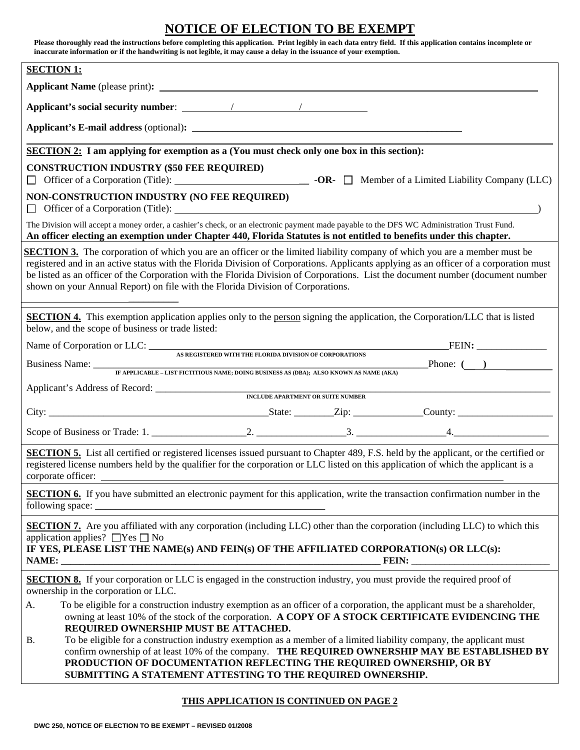# **NOTICE OF ELECTION TO BE EXEMPT**

| Please thoroughly read the instructions before completing this application. Print legibly in each data entry field. If this application contains incomplete or<br>inaccurate information or if the handwriting is not legible, it may cause a delay in the issuance of your exemption.                                                                                                                                                                                                          |  |  |  |  |
|-------------------------------------------------------------------------------------------------------------------------------------------------------------------------------------------------------------------------------------------------------------------------------------------------------------------------------------------------------------------------------------------------------------------------------------------------------------------------------------------------|--|--|--|--|
| <b>SECTION 1:</b>                                                                                                                                                                                                                                                                                                                                                                                                                                                                               |  |  |  |  |
|                                                                                                                                                                                                                                                                                                                                                                                                                                                                                                 |  |  |  |  |
|                                                                                                                                                                                                                                                                                                                                                                                                                                                                                                 |  |  |  |  |
|                                                                                                                                                                                                                                                                                                                                                                                                                                                                                                 |  |  |  |  |
| <b>SECTION 2:</b> I am applying for exemption as a (You must check only one box in this section):                                                                                                                                                                                                                                                                                                                                                                                               |  |  |  |  |
| <b>CONSTRUCTION INDUSTRY (\$50 FEE REQUIRED)</b>                                                                                                                                                                                                                                                                                                                                                                                                                                                |  |  |  |  |
| NON-CONSTRUCTION INDUSTRY (NO FEE REQUIRED)                                                                                                                                                                                                                                                                                                                                                                                                                                                     |  |  |  |  |
| The Division will accept a money order, a cashier's check, or an electronic payment made payable to the DFS WC Administration Trust Fund.<br>An officer electing an exemption under Chapter 440, Florida Statutes is not entitled to benefits under this chapter.                                                                                                                                                                                                                               |  |  |  |  |
| <b>SECTION 3.</b> The corporation of which you are an officer or the limited liability company of which you are a member must be<br>registered and in an active status with the Florida Division of Corporations. Applicants applying as an officer of a corporation must<br>be listed as an officer of the Corporation with the Florida Division of Corporations. List the document number (document number<br>shown on your Annual Report) on file with the Florida Division of Corporations. |  |  |  |  |
| <b>SECTION 4.</b> This exemption application applies only to the person signing the application, the Corporation/LLC that is listed<br>below, and the scope of business or trade listed:                                                                                                                                                                                                                                                                                                        |  |  |  |  |
| Name of Corporation or LLC: <u>AS REGISTERED WITH THE FLORIDA DIVISION OF CORPORATIONS</u>                                                                                                                                                                                                                                                                                                                                                                                                      |  |  |  |  |
| $\begin{array}{c}\n\textbf{Phone:} \quad \textbf{(} \quad \textbf{)}\n\end{array}$<br>Business Name: TEAPPLICABLE - LIST FICTITIOUS NAME; DOING BUSINESS AS (DBA); ALSO KNOWN AS NAME (AKA)                                                                                                                                                                                                                                                                                                     |  |  |  |  |
|                                                                                                                                                                                                                                                                                                                                                                                                                                                                                                 |  |  |  |  |
|                                                                                                                                                                                                                                                                                                                                                                                                                                                                                                 |  |  |  |  |
|                                                                                                                                                                                                                                                                                                                                                                                                                                                                                                 |  |  |  |  |
|                                                                                                                                                                                                                                                                                                                                                                                                                                                                                                 |  |  |  |  |
| <b>SECTION 5.</b> List all certified or registered licenses issued pursuant to Chapter 489, F.S. held by the applicant, or the certified or<br>registered license numbers held by the qualifier for the corporation or LLC listed on this application of which the applicant is a<br>corporate officer:                                                                                                                                                                                         |  |  |  |  |
| <b>SECTION 6.</b> If you have submitted an electronic payment for this application, write the transaction confirmation number in the<br>following space:<br><u> 1989 - Jan James James Barnett, fransk politik (d. 1989)</u>                                                                                                                                                                                                                                                                    |  |  |  |  |
| <b>SECTION 7.</b> Are you affiliated with any corporation (including LLC) other than the corporation (including LLC) to which this<br>application applies? $\Box$ Yes $\Box$ No<br>IF YES, PLEASE LIST THE NAME(s) AND FEIN(s) OF THE AFFILIATED CORPORATION(s) OR LLC(s):                                                                                                                                                                                                                      |  |  |  |  |
| <b>SECTION 8.</b> If your corporation or LLC is engaged in the construction industry, you must provide the required proof of<br>ownership in the corporation or LLC.                                                                                                                                                                                                                                                                                                                            |  |  |  |  |
| To be eligible for a construction industry exemption as an officer of a corporation, the applicant must be a shareholder,<br>A.<br>owning at least 10% of the stock of the corporation. A COPY OF A STOCK CERTIFICATE EVIDENCING THE<br>REQUIRED OWNERSHIP MUST BE ATTACHED.                                                                                                                                                                                                                    |  |  |  |  |
| To be eligible for a construction industry exemption as a member of a limited liability company, the applicant must<br><b>B.</b><br>confirm ownership of at least 10% of the company. THE REQUIRED OWNERSHIP MAY BE ESTABLISHED BY<br>PRODUCTION OF DOCUMENTATION REFLECTING THE REQUIRED OWNERSHIP, OR BY<br>SUBMITTING A STATEMENT ATTESTING TO THE REQUIRED OWNERSHIP.                                                                                                                       |  |  |  |  |

## **THIS APPLICATION IS CONTINUED ON PAGE 2**